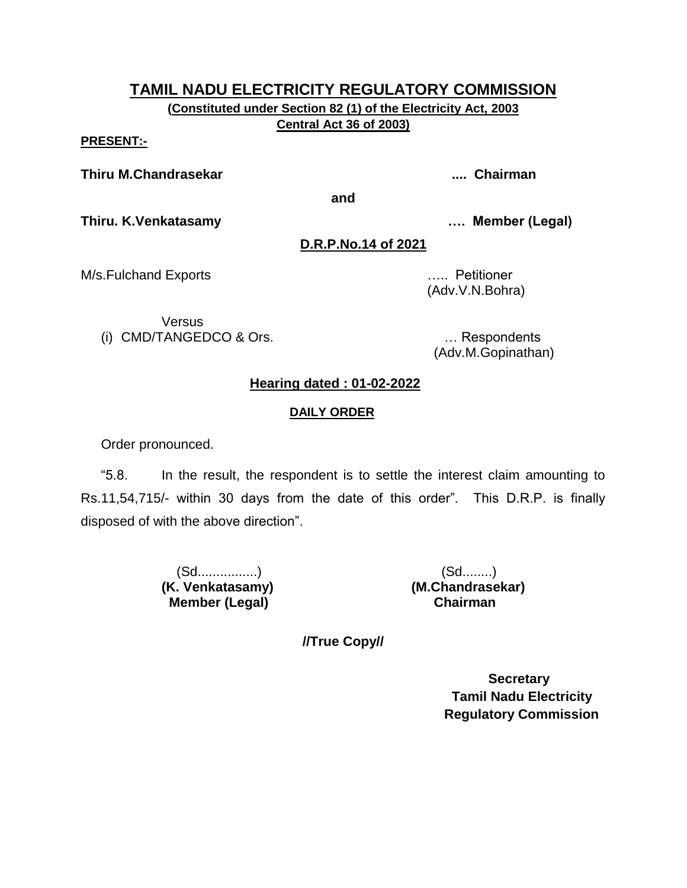**(Constituted under Section 82 (1) of the Electricity Act, 2003 Central Act 36 of 2003)**

#### **PRESENT:-**

**Thiru M.Chandrasekar .... Chairman**

**and**

**Thiru. K.Venkatasamy …. Member (Legal)**

**D.R.P.No.14 of 2021**

M/s.Fulchand Exports ….. Petitioner

(Adv.V.N.Bohra)

Versus (i) CMD/TANGEDCO & Ors. … Respondents

(Adv.M.Gopinathan)

# **Hearing dated : 01-02-2022**

# **DAILY ORDER**

Order pronounced.

"5.8. In the result, the respondent is to settle the interest claim amounting to Rs.11,54,715/- within 30 days from the date of this order". This D.R.P. is finally disposed of with the above direction".

> (Sd................) (Sd........) **(K. Venkatasamy) (M.Chandrasekar) Member (Legal) Chairman**

**//True Copy//**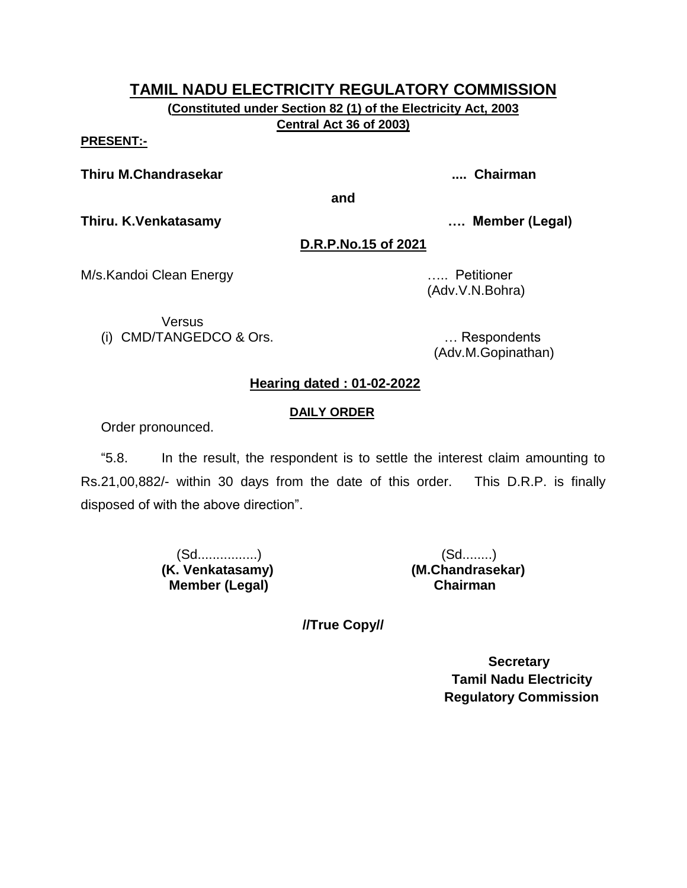**(Constituted under Section 82 (1) of the Electricity Act, 2003 Central Act 36 of 2003)**

#### **PRESENT:-**

**Thiru M.Chandrasekar .... Chairman**

**and**

**Thiru. K.Venkatasamy …. Member (Legal)**

**D.R.P.No.15 of 2021**

M/s.Kandoi Clean Energy ….. Petitioner

Versus (i) CMD/TANGEDCO & Ors. … Respondents

(Adv.V.N.Bohra)

(Adv.M.Gopinathan)

# **Hearing dated : 01-02-2022**

## **DAILY ORDER**

Order pronounced.

"5.8. In the result, the respondent is to settle the interest claim amounting to Rs.21,00,882/- within 30 days from the date of this order. This D.R.P. is finally disposed of with the above direction".

> (Sd................) (Sd........) **(K. Venkatasamy) (M.Chandrasekar) Member (Legal) Chairman**

**//True Copy//**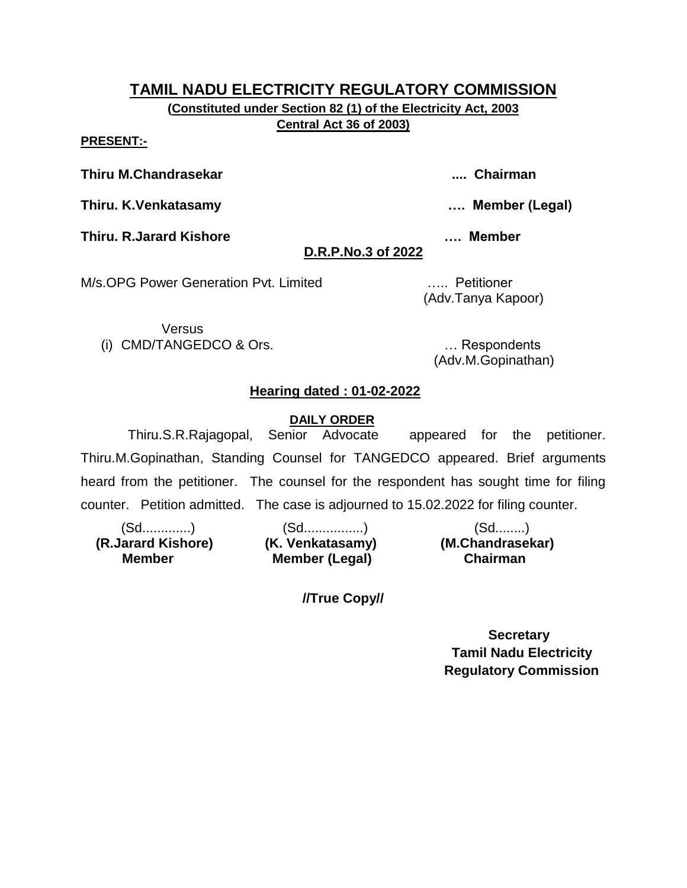**(Constituted under Section 82 (1) of the Electricity Act, 2003 Central Act 36 of 2003)**

**PRESENT:-**

**Thiru M.Chandrasekar .... Chairman**

**Thiru. K.Venkatasamy …. Member (Legal)**

**Thiru. R.Jarard Kishore …. Member** 

# **D.R.P.No.3 of 2022**

M/s.OPG Power Generation Pvt. Limited ….. Petitioner

**Versus** (i) CMD/TANGEDCO & Ors. … Respondents

(Adv.M.Gopinathan)

# **Hearing dated : 01-02-2022**

## **DAILY ORDER**

 Thiru.S.R.Rajagopal, Senior Advocate appeared for the petitioner. Thiru.M.Gopinathan, Standing Counsel for TANGEDCO appeared. Brief arguments heard from the petitioner. The counsel for the respondent has sought time for filing counter. Petition admitted. The case is adjourned to 15.02.2022 for filing counter.

(Sd.............) (Sd................) (Sd........)  **(R.Jarard Kishore) (K. Venkatasamy) (M.Chandrasekar) Member (Legal) Chairman Member** 

**//True Copy//**

 **Secretary Tamil Nadu Electricity Regulatory Commission**

(Adv.Tanya Kapoor)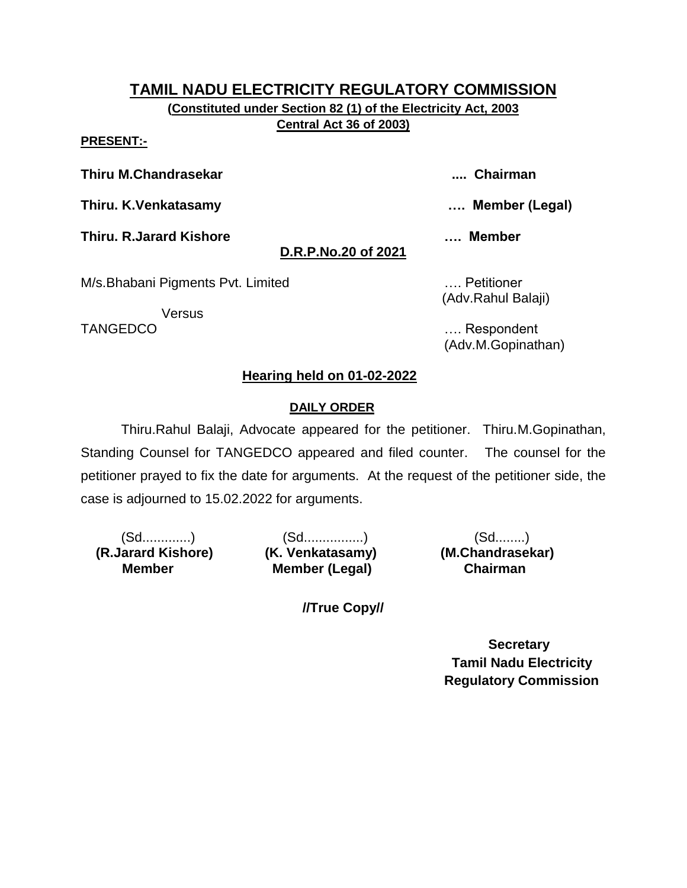**(Constituted under Section 82 (1) of the Electricity Act, 2003 Central Act 36 of 2003)**

**PRESENT:-**

**Thiru M.Chandrasekar .... Chairman**

**Thiru. K.Venkatasamy …. Member (Legal)**

**Thiru. R.Jarard Kishore …. Member** 

# **D.R.P.No.20 of 2021**

M/s.Bhabani Pigments Pvt. Limited …. Petitioner

Versus

(Adv.Rahul Balaji)

TANGEDCO …. Respondent (Adv.M.Gopinathan)

# **Hearing held on 01-02-2022**

# **DAILY ORDER**

Thiru.Rahul Balaji, Advocate appeared for the petitioner. Thiru.M.Gopinathan, Standing Counsel for TANGEDCO appeared and filed counter. The counsel for the petitioner prayed to fix the date for arguments. At the request of the petitioner side, the case is adjourned to 15.02.2022 for arguments.

 **(R.Jarard Kishore) (K. Venkatasamy) (M.Chandrasekar) Member** 

(Sd.............) (Sd................) (Sd........) **Member (Legal) Chairman** 

**//True Copy//**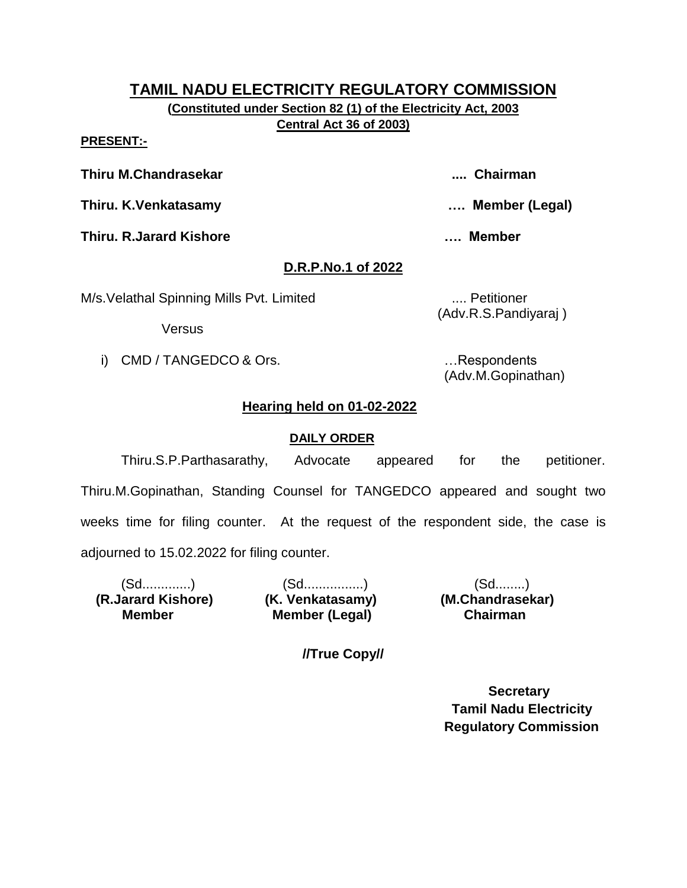**(Constituted under Section 82 (1) of the Electricity Act, 2003 Central Act 36 of 2003)**

#### **PRESENT:-**

**Thiru M.Chandrasekar .... Chairman**

**Thiru. K.Venkatasamy …. Member (Legal)**

**Thiru. R.Jarard Kishore …. Member** 

# **D.R.P.No.1 of 2022**

M/s. Velathal Spinning Mills Pvt. Limited .... Petitioner

Versus

(Adv.R.S.Pandiyaraj )

i) CMD / TANGEDCO & Ors. **Example 20** in the substitution of the second series of the series of the series of the series of the series of the series of the series of the series of the series of the series of the series of (Adv.M.Gopinathan)

# **Hearing held on 01-02-2022**

# **DAILY ORDER**

Thiru.S.P.Parthasarathy, Advocate appeared for the petitioner. Thiru.M.Gopinathan, Standing Counsel for TANGEDCO appeared and sought two weeks time for filing counter. At the request of the respondent side, the case is adjourned to 15.02.2022 for filing counter.

(Sd.............) (Sd................) (Sd........)  **(R.Jarard Kishore) (K. Venkatasamy) (M.Chandrasekar) Member (Legal) Chairman Member** 

**//True Copy//**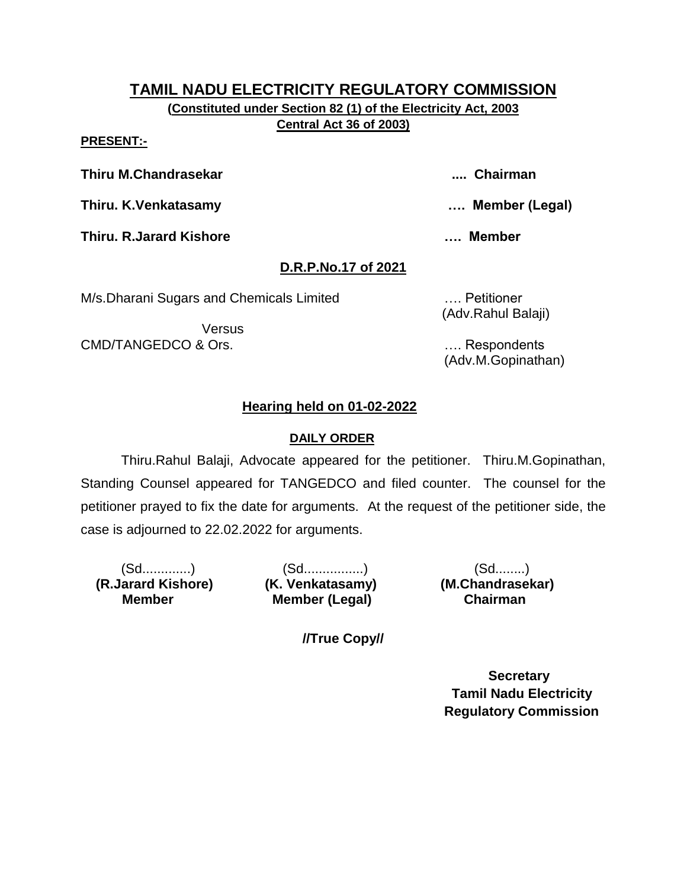**(Constituted under Section 82 (1) of the Electricity Act, 2003 Central Act 36 of 2003)**

#### **PRESENT:-**

**Thiru M.Chandrasekar .... Chairman**

**Thiru. K.Venkatasamy …. Member (Legal)**

**Thiru. R.Jarard Kishore …. Member** 

# **D.R.P.No.17 of 2021**

M/s.Dharani Sugars and Chemicals Limited …. Petitioner

**Versus** CMD/TANGEDCO & Ors. …. Respondents

(Adv.Rahul Balaji)

(Adv.M.Gopinathan)

# **Hearing held on 01-02-2022**

# **DAILY ORDER**

Thiru.Rahul Balaji, Advocate appeared for the petitioner. Thiru.M.Gopinathan, Standing Counsel appeared for TANGEDCO and filed counter. The counsel for the petitioner prayed to fix the date for arguments. At the request of the petitioner side, the case is adjourned to 22.02.2022 for arguments.

 **(R.Jarard Kishore) (K. Venkatasamy) (M.Chandrasekar) Member** 

(Sd.............) (Sd................) (Sd........) **Member (Legal) Chairman** 

**//True Copy//**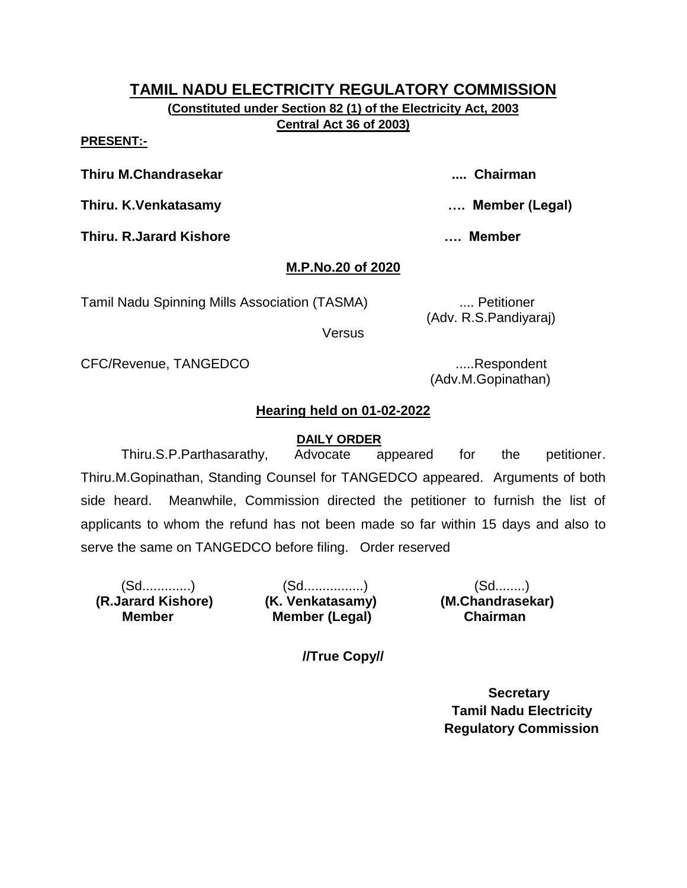**(Constituted under Section 82 (1) of the Electricity Act, 2003 Central Act 36 of 2003)**

**PRESENT:-**

**Thiru M.Chandrasekar .... Chairman**

**Thiru. K.Venkatasamy …. Member (Legal)**

**Thiru. R.Jarard Kishore …. Member** 

# **M.P.No.20 of 2020**

Tamil Nadu Spinning Mills Association (TASMA) .... Petitioner

(Adv. R.S.Pandiyaraj)

Versus

CFC/Revenue, TANGEDCO .....Respondent

(Adv.M.Gopinathan)

# **Hearing held on 01-02-2022**

## **DAILY ORDER**

Thiru.S.P.Parthasarathy, Advocate appeared for the petitioner. Thiru.M.Gopinathan, Standing Counsel for TANGEDCO appeared. Arguments of both side heard. Meanwhile, Commission directed the petitioner to furnish the list of applicants to whom the refund has not been made so far within 15 days and also to serve the same on TANGEDCO before filing. Order reserved

 **(R.Jarard Kishore) (K. Venkatasamy) (M.Chandrasekar) Member** 

(Sd.............) (Sd................) (Sd........) **Member (Legal) Chairman** 

**//True Copy//**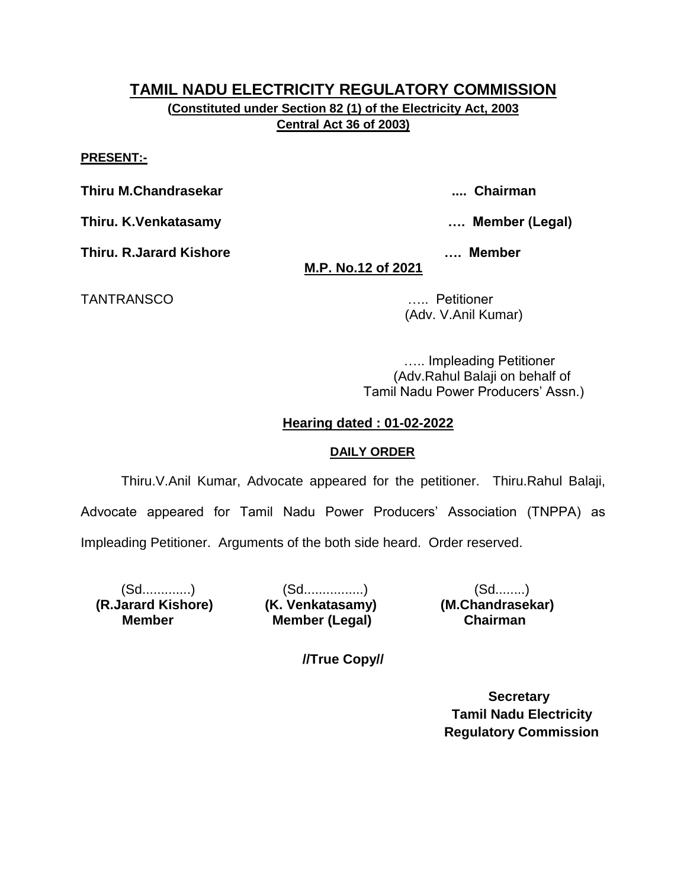**(Constituted under Section 82 (1) of the Electricity Act, 2003 Central Act 36 of 2003)**

#### **PRESENT:-**

**Thiru M.Chandrasekar .... Chairman**

**Thiru. K.Venkatasamy …. Member (Legal)**

**Thiru. R.Jarard Kishore …. Member** 

**M.P. No.12 of 2021**

TANTRANSCO ….. Petitioner

(Adv. V.Anil Kumar)

….. Impleading Petitioner (Adv.Rahul Balaji on behalf of Tamil Nadu Power Producers' Assn.)

## **Hearing dated : 01-02-2022**

### **DAILY ORDER**

Thiru.V.Anil Kumar, Advocate appeared for the petitioner. Thiru.Rahul Balaji, Advocate appeared for Tamil Nadu Power Producers' Association (TNPPA) as Impleading Petitioner. Arguments of the both side heard. Order reserved.

 **(R.Jarard Kishore) (K. Venkatasamy) (M.Chandrasekar) Member** 

(Sd.............) (Sd................) (Sd........) **Member (Legal) Chairman** 

**//True Copy//**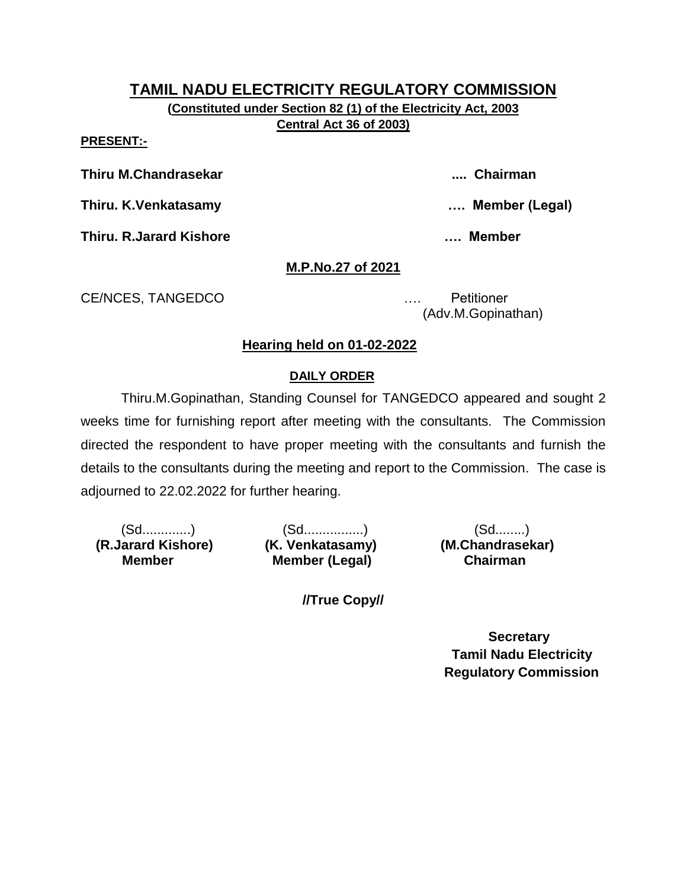**(Constituted under Section 82 (1) of the Electricity Act, 2003 Central Act 36 of 2003)**

#### **PRESENT:-**

**Thiru M.Chandrasekar .... Chairman**

**Thiru. K.Venkatasamy …. Member (Legal)**

**Thiru. R.Jarard Kishore …. Member** 

## **M.P.No.27 of 2021**

CE/NCES, TANGEDCO …. Petitioner

(Adv.M.Gopinathan)

## **Hearing held on 01-02-2022**

### **DAILY ORDER**

Thiru.M.Gopinathan, Standing Counsel for TANGEDCO appeared and sought 2 weeks time for furnishing report after meeting with the consultants. The Commission directed the respondent to have proper meeting with the consultants and furnish the details to the consultants during the meeting and report to the Commission. The case is adjourned to 22.02.2022 for further hearing.

 **(R.Jarard Kishore) (K. Venkatasamy) (M.Chandrasekar) Member** 

(Sd.............) (Sd................) (Sd........) **Member (Legal) Chairman** 

**//True Copy//**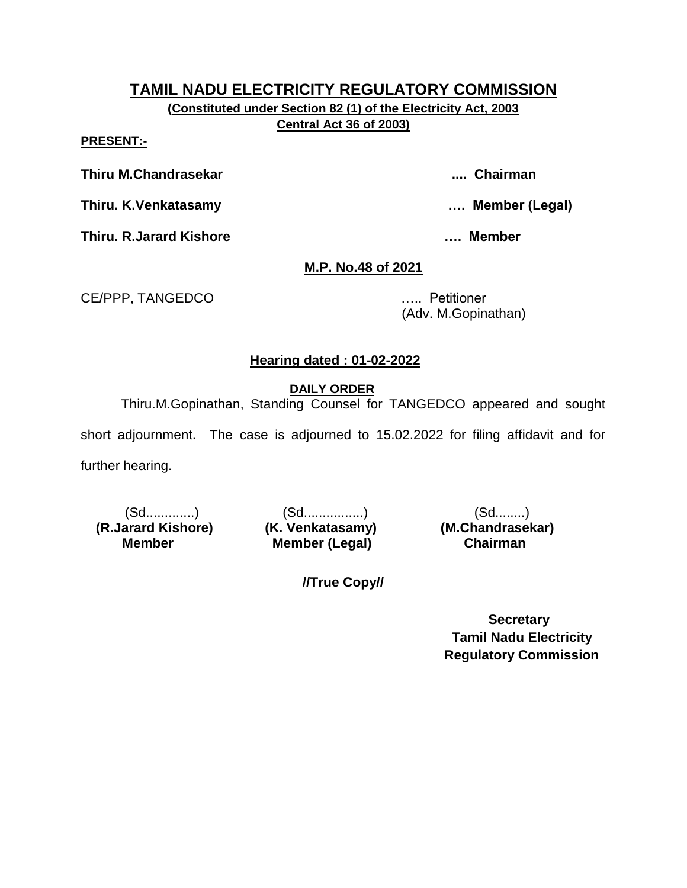**(Constituted under Section 82 (1) of the Electricity Act, 2003 Central Act 36 of 2003)**

#### **PRESENT:-**

**Thiru M.Chandrasekar .... Chairman**

**Thiru. K.Venkatasamy …. Member (Legal)**

**Thiru. R.Jarard Kishore …. Member** 

# **M.P. No.48 of 2021**

CE/PPP, TANGEDCO ….. Petitioner

(Adv. M.Gopinathan)

# **Hearing dated : 01-02-2022**

 **DAILY ORDER**

Thiru.M.Gopinathan, Standing Counsel for TANGEDCO appeared and sought

short adjournment. The case is adjourned to 15.02.2022 for filing affidavit and for

further hearing.

 **(R.Jarard Kishore) (K. Venkatasamy) (M.Chandrasekar) Member** 

(Sd.............) (Sd................) (Sd........) **Member (Legal) Chairman** 

**//True Copy//**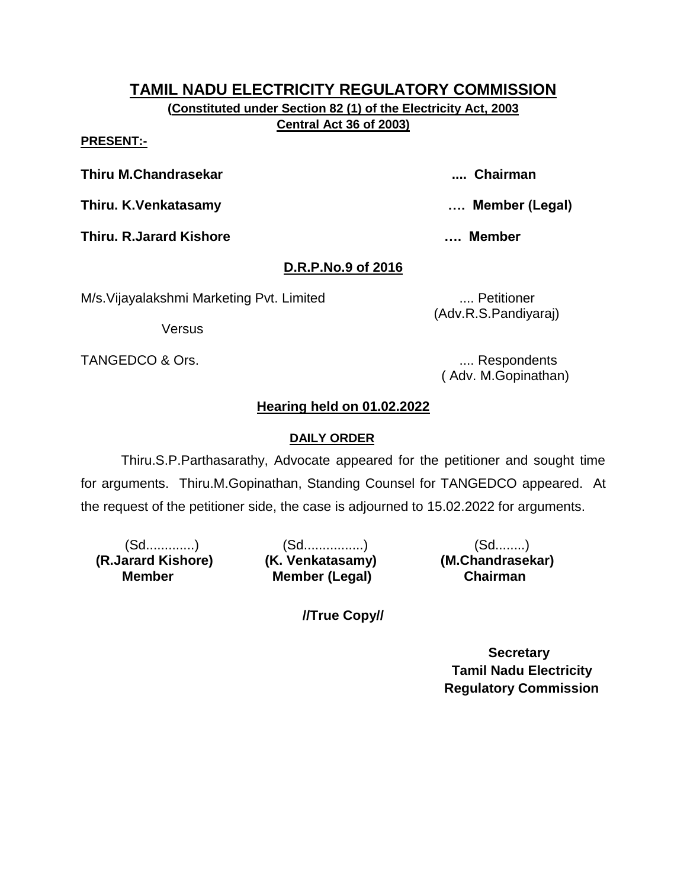**(Constituted under Section 82 (1) of the Electricity Act, 2003 Central Act 36 of 2003)**

#### **PRESENT:-**

**Thiru M.Chandrasekar .... Chairman**

**Thiru. K.Venkatasamy …. Member (Legal)**

**Thiru. R.Jarard Kishore …. Member** 

# **D.R.P.No.9 of 2016**

M/s. Vijayalakshmi Marketing Pvt. Limited .... Petitioner

Versus

TANGEDCO & Ors. .... Respondents

(Adv.R.S.Pandiyaraj)

( Adv. M.Gopinathan)

# **Hearing held on 01.02.2022**

# **DAILY ORDER**

Thiru.S.P.Parthasarathy, Advocate appeared for the petitioner and sought time for arguments. Thiru.M.Gopinathan, Standing Counsel for TANGEDCO appeared. At the request of the petitioner side, the case is adjourned to 15.02.2022 for arguments.

 **(R.Jarard Kishore) (K. Venkatasamy) (M.Chandrasekar) Member** 

(Sd.............) (Sd................) (Sd........) **Member (Legal) Chairman** 

**//True Copy//**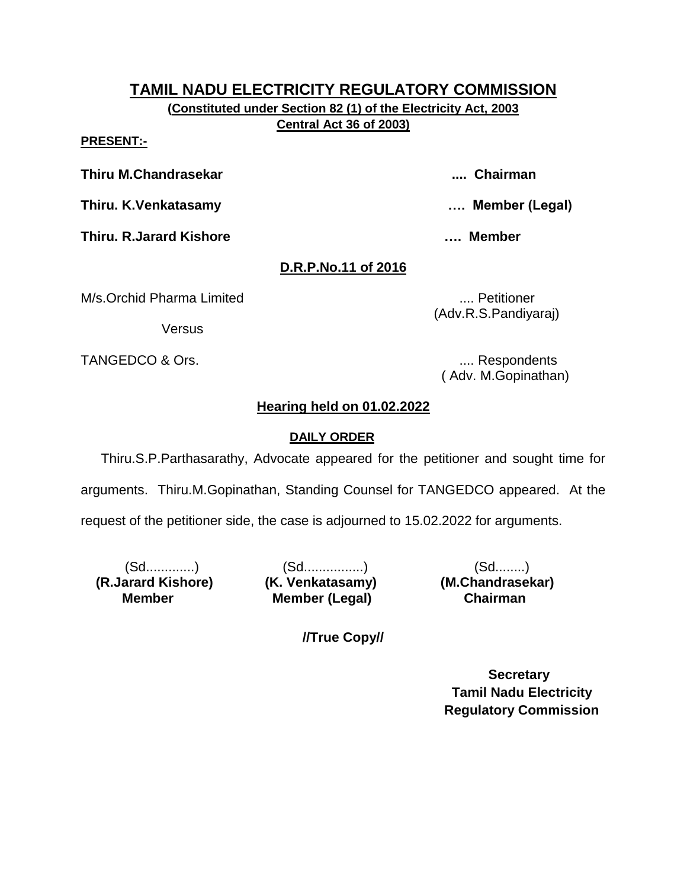**(Constituted under Section 82 (1) of the Electricity Act, 2003 Central Act 36 of 2003)**

**PRESENT:-**

**Thiru M.Chandrasekar .... Chairman**

**Thiru. K.Venkatasamy …. Member (Legal)**

**Thiru. R.Jarard Kishore …. Member** 

# **D.R.P.No.11 of 2016**

M/s.Orchid Pharma Limited **....** No. 2016 11: No. 2016

**Versus** 

TANGEDCO & Ors. .... Respondents

(Adv.R.S.Pandiyaraj)

( Adv. M.Gopinathan)

# **Hearing held on 01.02.2022**

# **DAILY ORDER**

Thiru.S.P.Parthasarathy, Advocate appeared for the petitioner and sought time for arguments. Thiru.M.Gopinathan, Standing Counsel for TANGEDCO appeared. At the request of the petitioner side, the case is adjourned to 15.02.2022 for arguments.

 **(R.Jarard Kishore) (K. Venkatasamy) (M.Chandrasekar) Member** 

(Sd.............) (Sd................) (Sd........) **Member (Legal) Chairman** 

**//True Copy//**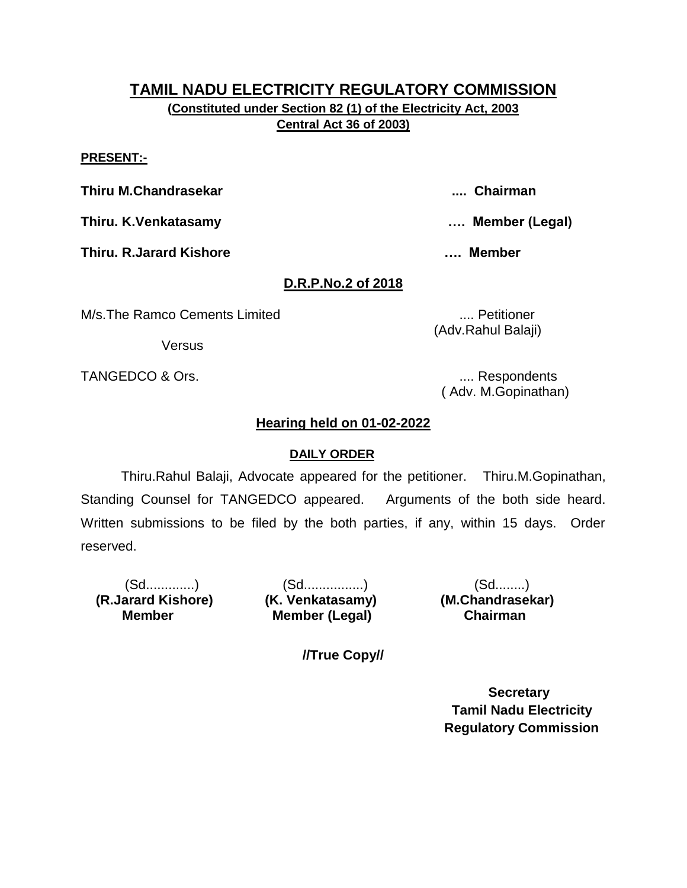**(Constituted under Section 82 (1) of the Electricity Act, 2003 Central Act 36 of 2003)**

#### **PRESENT:-**

**Thiru M.Chandrasekar .... Chairman**

**Thiru. K.Venkatasamy …. Member (Legal)**

**Thiru. R.Jarard Kishore …. Member** 

## **D.R.P.No.2 of 2018**

M/s.The Ramco Cements Limited .... Petitioner

**Versus** 

TANGEDCO & Ors. .... Respondents

( Adv. M.Gopinathan)

## **Hearing held on 01-02-2022**

### **DAILY ORDER**

Thiru.Rahul Balaji, Advocate appeared for the petitioner. Thiru.M.Gopinathan, Standing Counsel for TANGEDCO appeared. Arguments of the both side heard. Written submissions to be filed by the both parties, if any, within 15 days. Order reserved.

 **(R.Jarard Kishore) (K. Venkatasamy) (M.Chandrasekar) Member** 

(Sd.............) (Sd................) (Sd........) **Member (Legal) Chairman** 

**//True Copy//**

 **Secretary Tamil Nadu Electricity Regulatory Commission**

(Adv.Rahul Balaji)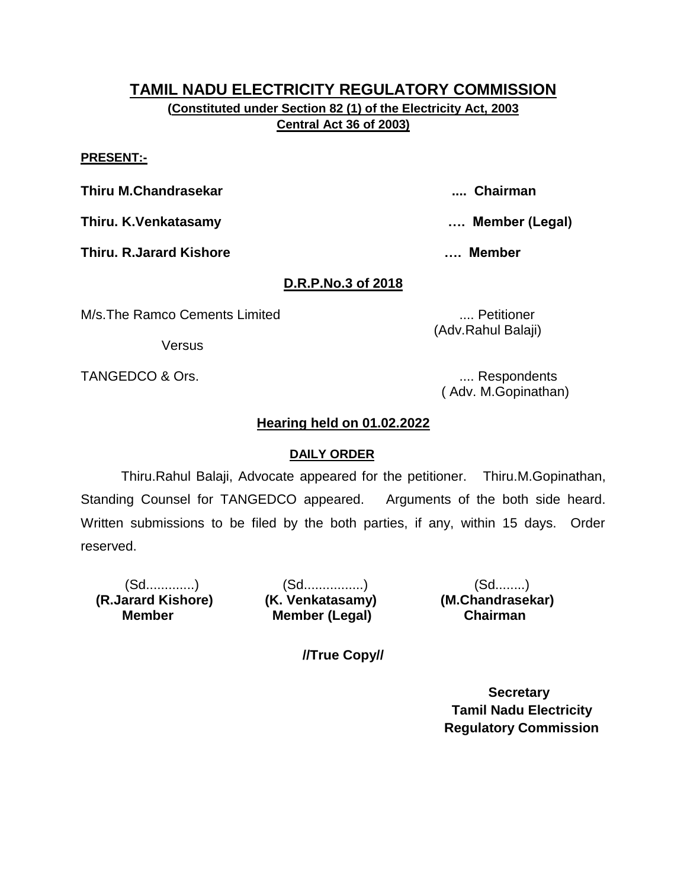**(Constituted under Section 82 (1) of the Electricity Act, 2003 Central Act 36 of 2003)**

#### **PRESENT:-**

**Thiru M.Chandrasekar .... Chairman**

**Thiru. K.Venkatasamy …. Member (Legal)**

**Thiru. R.Jarard Kishore …. Member** 

# **D.R.P.No.3 of 2018**

M/s.The Ramco Cements Limited .... Petitioner

**Versus** 

TANGEDCO & Ors. .... Respondents

( Adv. M.Gopinathan)

## **Hearing held on 01.02.2022**

### **DAILY ORDER**

Thiru.Rahul Balaji, Advocate appeared for the petitioner. Thiru.M.Gopinathan, Standing Counsel for TANGEDCO appeared. Arguments of the both side heard. Written submissions to be filed by the both parties, if any, within 15 days. Order reserved.

 **(R.Jarard Kishore) (K. Venkatasamy) (M.Chandrasekar) Member** 

(Sd.............) (Sd................) (Sd........) **Member (Legal) Chairman** 

**//True Copy//**

 **Secretary Tamil Nadu Electricity Regulatory Commission**

(Adv.Rahul Balaji)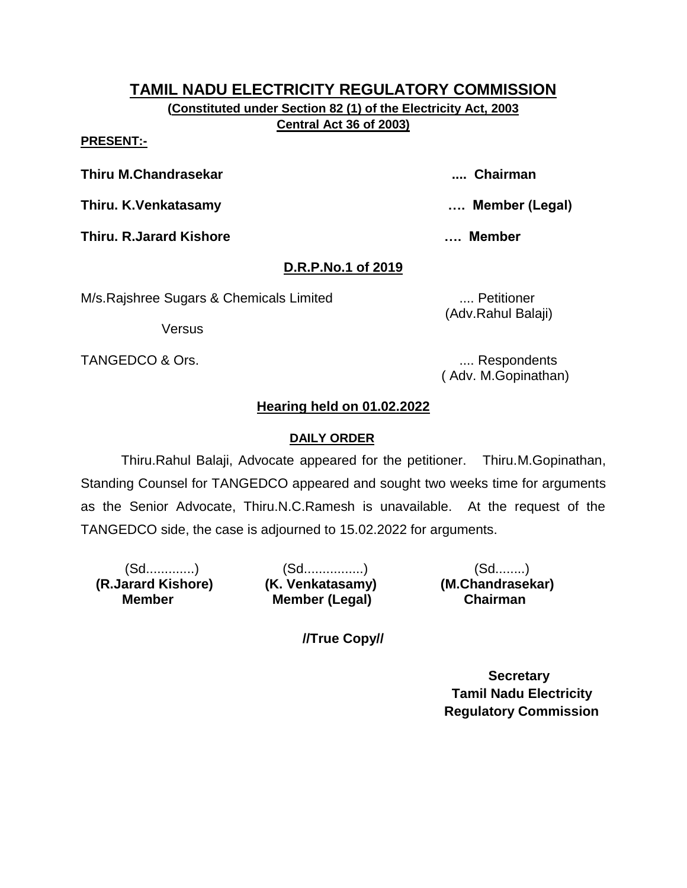**(Constituted under Section 82 (1) of the Electricity Act, 2003 Central Act 36 of 2003)**

#### **PRESENT:-**

**Thiru M.Chandrasekar .... Chairman**

**Thiru. K.Venkatasamy …. Member (Legal)**

**Thiru. R.Jarard Kishore …. Member** 

# **D.R.P.No.1 of 2019**

M/s.Rajshree Sugars & Chemicals Limited .... Petitioner

Versus

TANGEDCO & Ors. .... Respondents

(Adv.Rahul Balaji)

( Adv. M.Gopinathan)

# **Hearing held on 01.02.2022**

# **DAILY ORDER**

Thiru.Rahul Balaji, Advocate appeared for the petitioner. Thiru.M.Gopinathan, Standing Counsel for TANGEDCO appeared and sought two weeks time for arguments as the Senior Advocate, Thiru.N.C.Ramesh is unavailable. At the request of the TANGEDCO side, the case is adjourned to 15.02.2022 for arguments.

 **(R.Jarard Kishore) (K. Venkatasamy) (M.Chandrasekar) Member** 

(Sd.............) (Sd................) (Sd........) **Member (Legal) Chairman** 

**//True Copy//**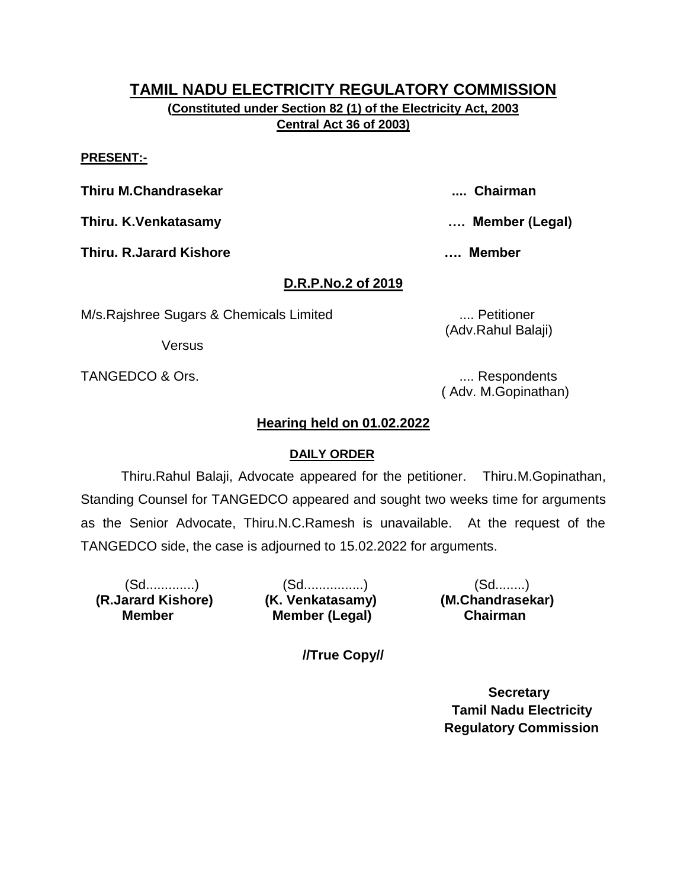**(Constituted under Section 82 (1) of the Electricity Act, 2003 Central Act 36 of 2003)**

#### **PRESENT:-**

**Thiru M.Chandrasekar .... Chairman**

**Thiru. K.Venkatasamy …. Member (Legal)**

**Thiru. R.Jarard Kishore …. Member** 

## **D.R.P.No.2 of 2019**

M/s.Rajshree Sugars & Chemicals Limited .... Petitioner

Versus

TANGEDCO & Ors. .... Respondents

( Adv. M.Gopinathan)

(Adv.Rahul Balaji)

## **Hearing held on 01.02.2022**

### **DAILY ORDER**

Thiru.Rahul Balaji, Advocate appeared for the petitioner. Thiru.M.Gopinathan, Standing Counsel for TANGEDCO appeared and sought two weeks time for arguments as the Senior Advocate, Thiru.N.C.Ramesh is unavailable. At the request of the TANGEDCO side, the case is adjourned to 15.02.2022 for arguments.

 **(R.Jarard Kishore) (K. Venkatasamy) (M.Chandrasekar) Member** 

(Sd.............) (Sd................) (Sd........) **Member (Legal) Chairman** 

**//True Copy//**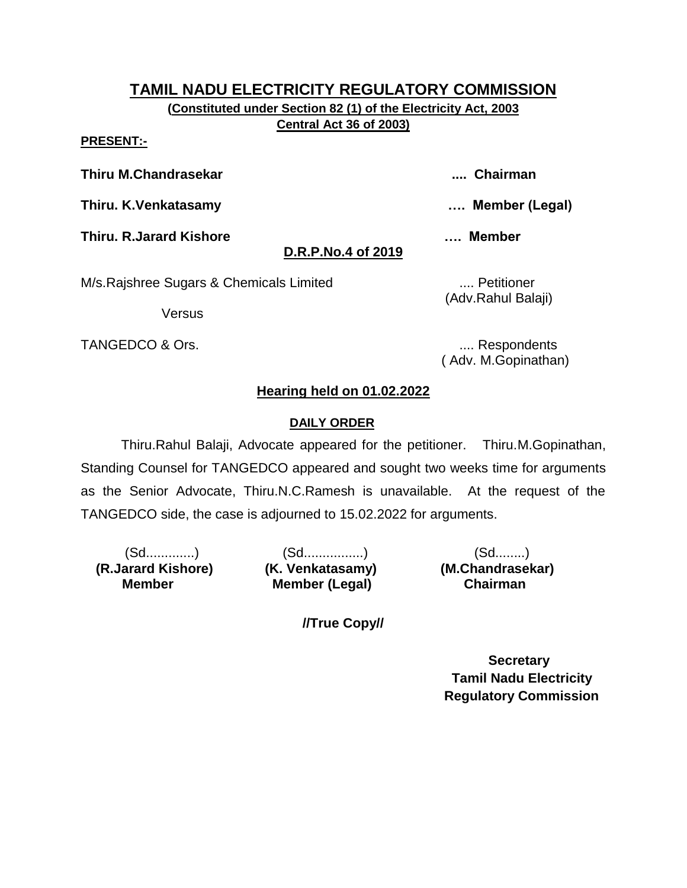**(Constituted under Section 82 (1) of the Electricity Act, 2003 Central Act 36 of 2003)**

#### **PRESENT:-**

**Thiru M.Chandrasekar .... Chairman**

**Thiru. K.Venkatasamy …. Member (Legal)**

**Thiru. R.Jarard Kishore …. Member** 

# **D.R.P.No.4 of 2019**

M/s.Rajshree Sugars & Chemicals Limited .... Petitioner

Versus

TANGEDCO & Ors. **..... 2008** TANGEDCO & Ors.

(Adv.Rahul Balaji)

( Adv. M.Gopinathan)

# **Hearing held on 01.02.2022**

# **DAILY ORDER**

Thiru.Rahul Balaji, Advocate appeared for the petitioner. Thiru.M.Gopinathan, Standing Counsel for TANGEDCO appeared and sought two weeks time for arguments as the Senior Advocate, Thiru.N.C.Ramesh is unavailable. At the request of the TANGEDCO side, the case is adjourned to 15.02.2022 for arguments.

 **(R.Jarard Kishore) (K. Venkatasamy) (M.Chandrasekar) Member** 

(Sd.............) (Sd................) (Sd........) **Member (Legal) Chairman** 

**//True Copy//**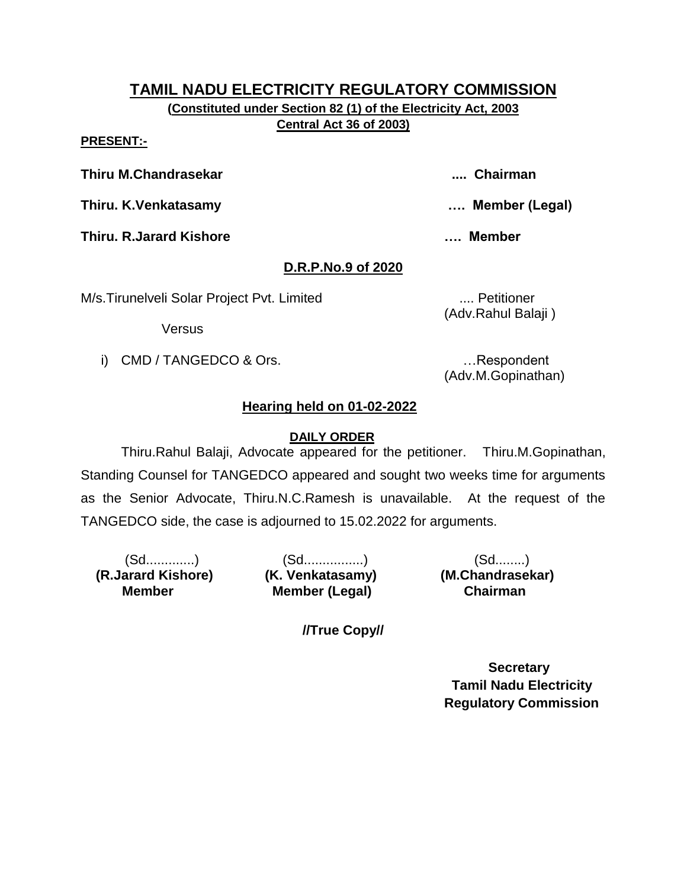**(Constituted under Section 82 (1) of the Electricity Act, 2003 Central Act 36 of 2003)**

#### **PRESENT:-**

**Thiru M.Chandrasekar .... Chairman**

**Thiru. K.Venkatasamy …. Member (Legal)**

**Thiru. R.Jarard Kishore …. Member** 

# **D.R.P.No.9 of 2020**

M/s.Tirunelveli Solar Project Pvt. Limited .... Petitioner

Versus

i) CMD / TANGEDCO & Ors. **Example 20** in the second control of the second control of the second control of the second control of the second control of the second control of the second control of the second control of the s

(Adv.Rahul Balaji )

(Adv.M.Gopinathan)

# **Hearing held on 01-02-2022**

# **DAILY ORDER**

Thiru.Rahul Balaji, Advocate appeared for the petitioner. Thiru.M.Gopinathan, Standing Counsel for TANGEDCO appeared and sought two weeks time for arguments as the Senior Advocate, Thiru.N.C.Ramesh is unavailable. At the request of the TANGEDCO side, the case is adjourned to 15.02.2022 for arguments.

 **(R.Jarard Kishore) (K. Venkatasamy) (M.Chandrasekar) Member** 

(Sd.............) (Sd................) (Sd........) **Member (Legal) Chairman** 

**//True Copy//**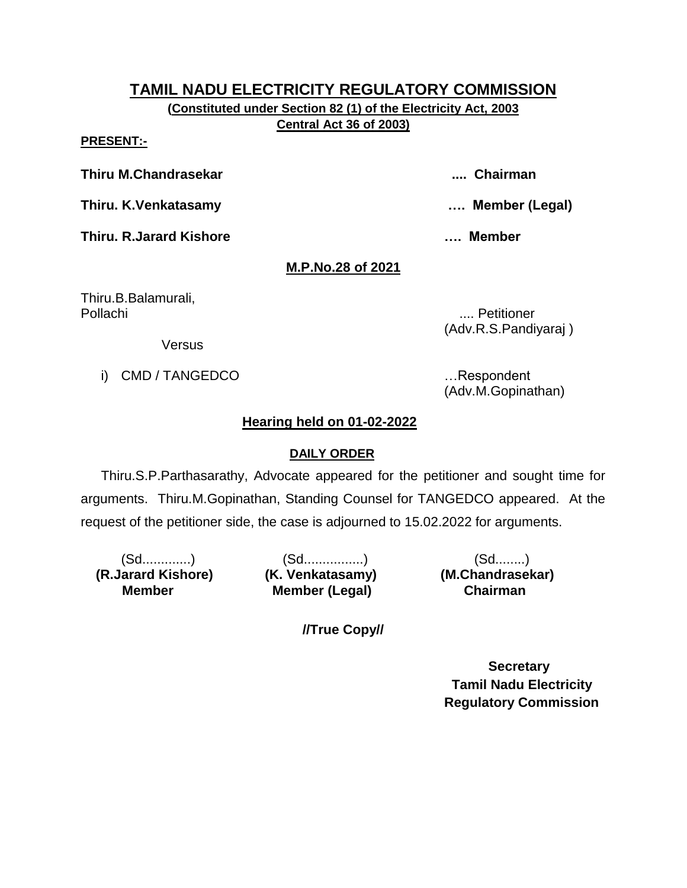**(Constituted under Section 82 (1) of the Electricity Act, 2003 Central Act 36 of 2003)**

#### **PRESENT:-**

**Thiru M.Chandrasekar .... Chairman**

**Thiru. K.Venkatasamy …. Member (Legal)**

**Thiru. R.Jarard Kishore …. Member** 

# **M.P.No.28 of 2021**

Thiru.B.Balamurali, Pollachi .... Petitioner

(Adv.R.S.Pandiyaraj )

**Versus** 

i) CMD / TANGEDCO **in the set of the set of the set of the set of the set of the set of the set of the set of the set of the set of the set of the set of the set of the set of the set of the set of the set of the set of th** 

(Adv.M.Gopinathan)

# **Hearing held on 01-02-2022**

# **DAILY ORDER**

Thiru.S.P.Parthasarathy, Advocate appeared for the petitioner and sought time for arguments. Thiru.M.Gopinathan, Standing Counsel for TANGEDCO appeared. At the request of the petitioner side, the case is adjourned to 15.02.2022 for arguments.

 **(R.Jarard Kishore) (K. Venkatasamy) (M.Chandrasekar) Member** 

(Sd.............) (Sd................) (Sd........) **Member (Legal) Chairman** 

**//True Copy//**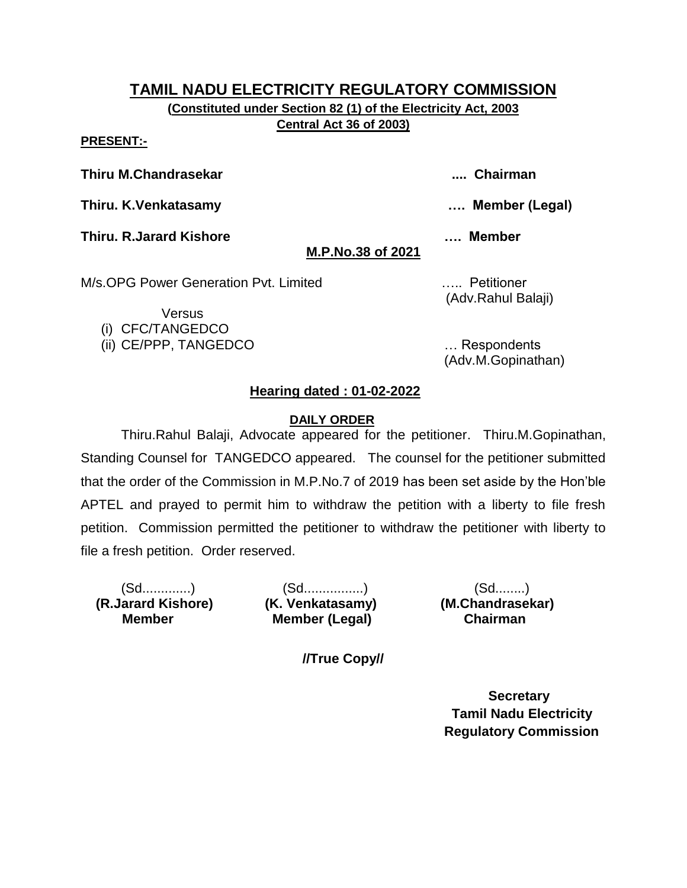**(Constituted under Section 82 (1) of the Electricity Act, 2003 Central Act 36 of 2003)**

#### **PRESENT:-**

**Thiru M.Chandrasekar .... Chairman**

**Thiru. K.Venkatasamy …. Member (Legal)**

**Thiru. R.Jarard Kishore …. Member** 

# **M.P.No.38 of 2021**

M/s.OPG Power Generation Pvt. Limited ….. Petitioner

Versus (i) CFC/TANGEDCO (Adv.Rahul Balaji)

(ii) CE/PPP, TANGEDCO … Respondents (Adv.M.Gopinathan)

# **Hearing dated : 01-02-2022**

# **DAILY ORDER**

Thiru.Rahul Balaji, Advocate appeared for the petitioner. Thiru.M.Gopinathan, Standing Counsel for TANGEDCO appeared. The counsel for the petitioner submitted that the order of the Commission in M.P.No.7 of 2019 has been set aside by the Hon'ble APTEL and prayed to permit him to withdraw the petition with a liberty to file fresh petition. Commission permitted the petitioner to withdraw the petitioner with liberty to file a fresh petition. Order reserved.

 **(R.Jarard Kishore) (K. Venkatasamy) (M.Chandrasekar) Member** 

(Sd.............) (Sd................) (Sd........) **Member (Legal) Chairman** 

**//True Copy//**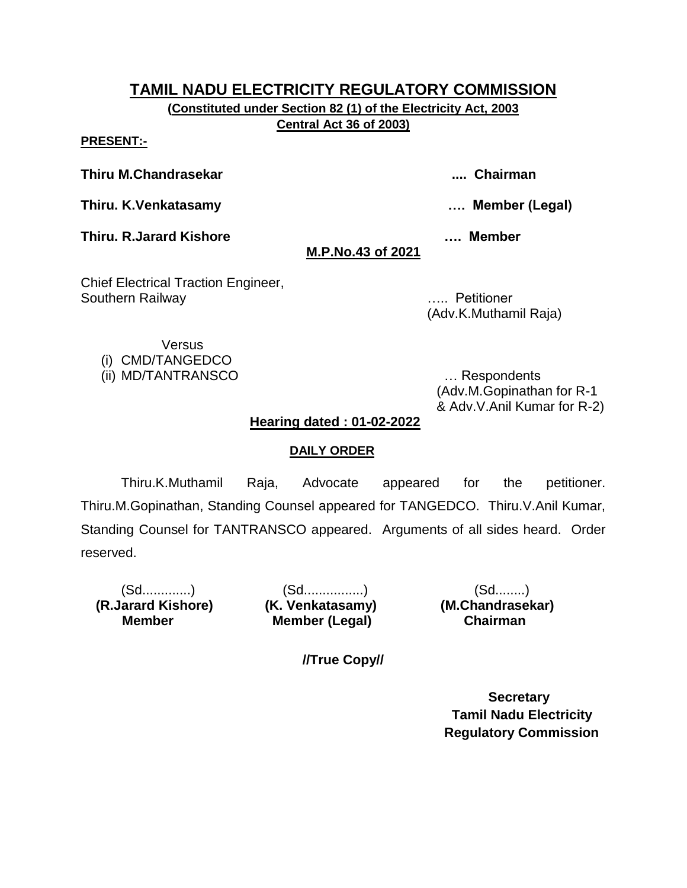**(Constituted under Section 82 (1) of the Electricity Act, 2003 Central Act 36 of 2003)**

**PRESENT:-**

**Thiru M.Chandrasekar .... Chairman**

**Thiru. K.Venkatasamy …. Member (Legal)**

**Thiru. R.Jarard Kishore …. Member** 

# **M.P.No.43 of 2021**

Chief Electrical Traction Engineer, Southern Railway ….. Petitioner

(Adv.K.Muthamil Raja)

**Versus** 

(i) CMD/TANGEDCO

(ii) MD/TANTRANSCO … Respondents

(Adv.M.Gopinathan for R-1 & Adv.V.Anil Kumar for R-2)

# **Hearing dated : 01-02-2022**

# **DAILY ORDER**

Thiru.K.Muthamil Raja, Advocate appeared for the petitioner. Thiru.M.Gopinathan, Standing Counsel appeared for TANGEDCO. Thiru.V.Anil Kumar, Standing Counsel for TANTRANSCO appeared. Arguments of all sides heard. Order reserved.

 **(R.Jarard Kishore) (K. Venkatasamy) (M.Chandrasekar) Member** 

(Sd.............) (Sd................) (Sd........) **Member (Legal) Chairman** 

**//True Copy//**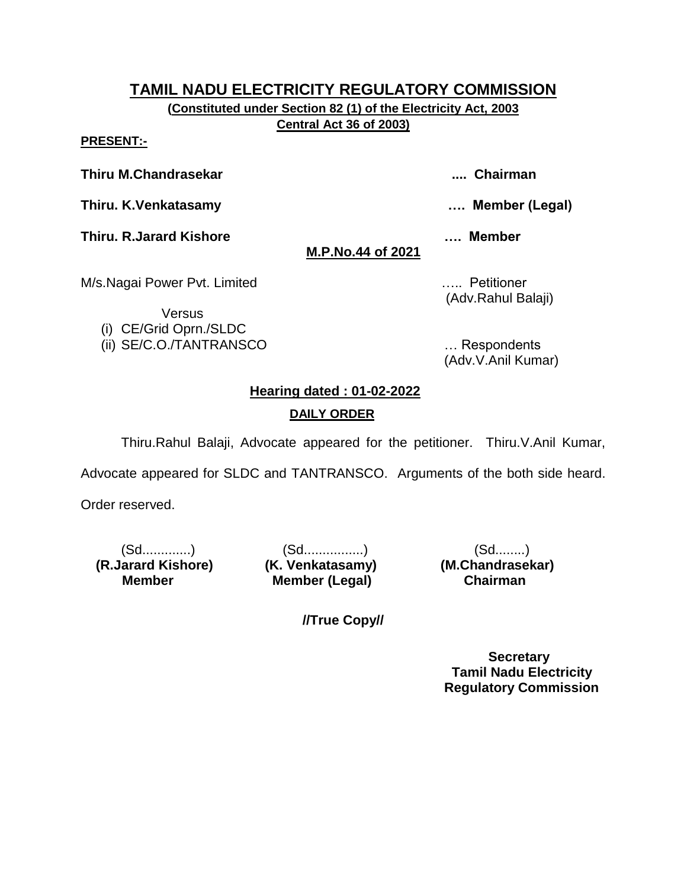**(Constituted under Section 82 (1) of the Electricity Act, 2003 Central Act 36 of 2003)**

## **PRESENT:-**

## **Thiru M.Chandrasekar .... Chairman**

**Thiru. K.Venkatasamy …. Member (Legal)**

**Thiru. R.Jarard Kishore …. Member** 

# **M.P.No.44 of 2021**

M/s.Nagai Power Pvt. Limited **Example 20** 2014 2015. All Petitioner

Versus (i) CE/Grid Oprn./SLDC

(Adv.Rahul Balaji)

(ii) SE/C.O./TANTRANSCO … Respondents (Adv.V.Anil Kumar)

# **Hearing dated : 01-02-2022 DAILY ORDER**

Thiru.Rahul Balaji, Advocate appeared for the petitioner. Thiru.V.Anil Kumar,

Advocate appeared for SLDC and TANTRANSCO. Arguments of the both side heard.

**//True Copy//**

Order reserved.

**(R.Jarard Kishore) (K. Venkatasamy) Member** 

(Sd.............) (Sd.................) (Sd.........)<br>arard Kishore) **(K. Venkatasamy) (M.Chandrasekar) Member (Legal) Chairman**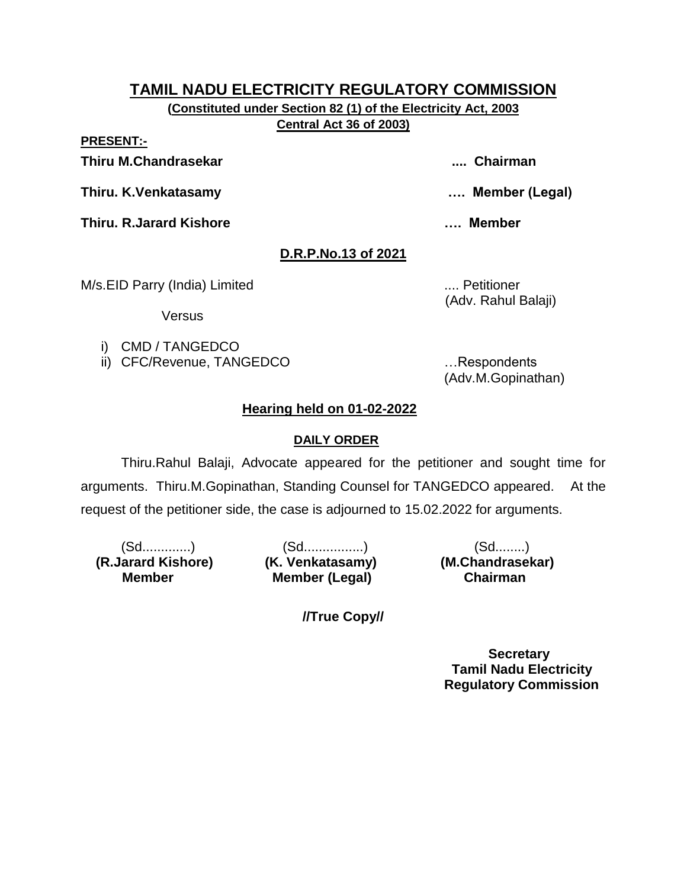**(Constituted under Section 82 (1) of the Electricity Act, 2003 Central Act 36 of 2003)**

**PRESENT:-**

**Thiru M.Chandrasekar .... Chairman**

**Thiru. K.Venkatasamy …. Member (Legal)**

**Thiru. R.Jarard Kishore …. Member** 

# **D.R.P.No.13 of 2021**

M/s.EID Parry (India) Limited .... Petitioner

(Adv. Rahul Balaji)

Versus

- i) CMD / TANGEDCO
- ii) CFC/Revenue, TANGEDCO …Respondents

(Adv.M.Gopinathan)

# **Hearing held on 01-02-2022**

# **DAILY ORDER**

Thiru.Rahul Balaji, Advocate appeared for the petitioner and sought time for arguments. Thiru.M.Gopinathan, Standing Counsel for TANGEDCO appeared. At the request of the petitioner side, the case is adjourned to 15.02.2022 for arguments.

 **(R.Jarard Kishore) (K. Venkatasamy) (M.Chandrasekar) Member** 

(Sd.............) (Sd................) (Sd........) **Member (Legal)** 

**//True Copy//**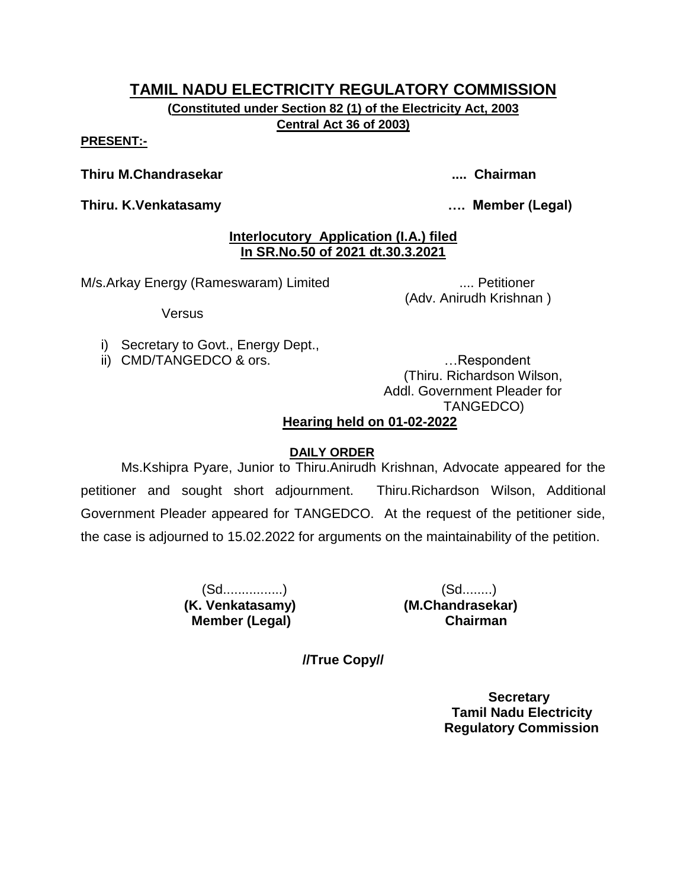**(Constituted under Section 82 (1) of the Electricity Act, 2003 Central Act 36 of 2003)**

#### **PRESENT:-**

### **Thiru M.Chandrasekar .... Chairman**

**Thiru. K.Venkatasamy …. Member (Legal)**

# **Interlocutory Application (I.A.) filed In SR.No.50 of 2021 dt.30.3.2021**

M/s.Arkay Energy (Rameswaram) Limited ..... Petitioner

(Adv. Anirudh Krishnan )

**Versus** 

- i) Secretary to Govt., Energy Dept.,
- ii) CMD/TANGEDCO & ors. **EXECUTE:** 1. Respondent

(Thiru. Richardson Wilson, Addl. Government Pleader for TANGEDCO)

# **Hearing held on 01-02-2022**

# **DAILY ORDER**

Ms.Kshipra Pyare, Junior to Thiru.Anirudh Krishnan, Advocate appeared for the petitioner and sought short adjournment. Thiru.Richardson Wilson, Additional Government Pleader appeared for TANGEDCO. At the request of the petitioner side, the case is adjourned to 15.02.2022 for arguments on the maintainability of the petition.

> (Sd................) (Sd........)  **(K. Venkatasamy) (M.Chandrasekar) Member (Legal) Chairman**

**//True Copy//**